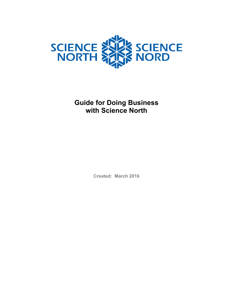

**Guide for Doing Business with Science North**

**Created: March 2016**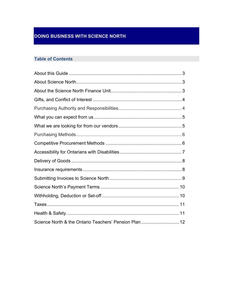# **DOING BUSINESS WITH SCIENCE NORTH**

# **Table of Contents**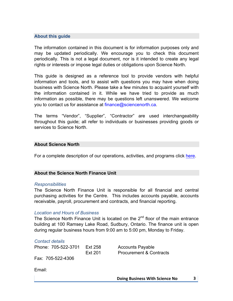# **About this guide**

The information contained in this document is for information purposes only and may be updated periodically. We encourage you to check this document periodically. This is not a legal document, nor is it intended to create any legal rights or interests or impose legal duties or obligations upon Science North.

This guide is designed as a reference tool to provide vendors with helpful information and tools, and to assist with questions you may have when doing business with Science North. Please take a few minutes to acquaint yourself with the information contained in it. While we have tried to provide as much information as possible, there may be questions left unanswered. We welcome you to contact us for assistance at finance@sciencenorth.ca.

The terms "Vendor", "Supplier", "Contractor" are used interchangeability throughout this guide; all refer to individuals or businesses providing goods or services to Science North.

# **About Science North**

For a complete description of our operations, activities, and programs click here.

# **About the Science North Finance Unit**

## *Responsibilities*

The Science North Finance Unit is responsible for all financial and central purchasing activities for the Centre. This includes accounts payable, accounts receivable, payroll, procurement and contracts, and financial reporting.

# *Location and Hours of Business*

The Science North Finance Unit is located on the 2<sup>nd</sup> floor of the main entrance building at 100 Ramsey Lake Road, Sudbury, Ontario. The finance unit is open during regular business hours from 9:00 am to 5:00 pm, Monday to Friday.

## *Contact details*

Phone: 705-522-3701 Ext 258 Accounts Payable

Ext 201 Procurement & Contracts

Fax: 705-522-4306

Email: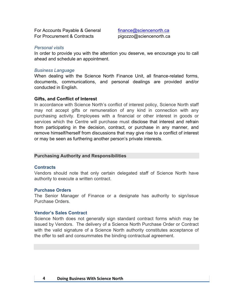For Accounts Payable & General finance@sciencenorth.ca For Procurement & Contracts pigozzo@sciencenorth.ca

## *Personal visits*

In order to provide you with the attention you deserve, we encourage you to call ahead and schedule an appointment.

## *Business Language*

When dealing with the Science North Finance Unit, all finance-related forms, documents, communications, and personal dealings are provided and/or conducted in English.

## **Gifts, and Conflict of Interest**

In accordance with Science North's conflict of interest policy, Science North staff may not accept gifts or remuneration of any kind in connection with any purchasing activity. Employees with a financial or other interest in goods or services which the Centre will purchase must disclose that interest and refrain from participating in the decision, contract, or purchase in any manner, and remove himself/herself from discussions that may give rise to a conflict of interest or may be seen as furthering another person's private interests.

## **Purchasing Authority and Responsibilities**

## **Contracts**

Vendors should note that only certain delegated staff of Science North have authority to execute a written contract.

## **Purchase Orders**

The Senior Manager of Finance or a designate has authority to sign/issue Purchase Orders.

## **Vendor's Sales Contract**

Science North does not generally sign standard contract forms which may be issued by Vendors. The delivery of a Science North Purchase Order or Contract with the valid signature of a Science North authority constitutes acceptance of the offer to sell and consummates the binding contractual agreement.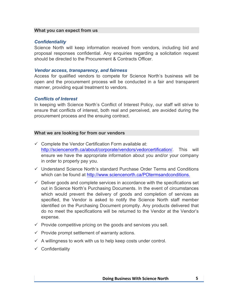## **What you can expect from us**

# *Confidentiality*

Science North will keep information received from vendors, including bid and proposal responses confidential. Any enquiries regarding a solicitation request should be directed to the Procurement & Contracts Officer.

## *Vendor access, transparency, and fairness*

Access for qualified vendors to compete for Science North's business will be open and the procurement process will be conducted in a fair and transparent manner, providing equal treatment to vendors.

# *Conflicts of Interest*

In keeping with Science North's Conflict of Interest Policy, our staff will strive to ensure that conflicts of interest, both real and perceived, are avoided during the procurement process and the ensuing contract.

# **What we are looking for from our vendors**

- $\checkmark$  Complete the Vendor Certification Form available at: http://sciencenorth.ca/about/corporate/vendors/vedorcertification/. This will ensure we have the appropriate information about you and/or your company in order to properly pay you.
- $\checkmark$  Understand Science North's standard Purchase Order Terms and Conditions which can be found at http://www.sciencenorth.ca/POtermsandconditions.
- $\checkmark$  Deliver goods and complete services in accordance with the specifications set out in Science North's Purchasing Documents. In the event of circumstances which would prevent the delivery of goods and completion of services as specified, the Vendor is asked to notify the Science North staff member identified on the Purchasing Document promptly. Any products delivered that do no meet the specifications will be returned to the Vendor at the Vendor's expense.
- $\checkmark$  Provide competitive pricing on the goods and services you sell.
- $\checkmark$  Provide prompt settlement of warranty actions.
- $\checkmark$  A willingness to work with us to help keep costs under control.
- $\checkmark$  Confidentiality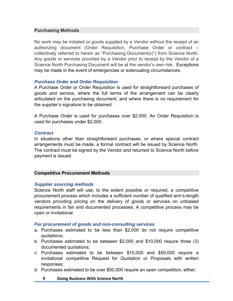## **Purchasing Methods**

No work may be initiated or goods supplied by a Vendor without the receipt of an authorizing document (Order Requisition, Purchase Order or contract – collectively referred to herein as "Purchasing Document(s)") from Science North. Any goods or services provided by a Vendor prior to receipt by the Vendor of a Science North Purchasing Document will be at the vendor's own risk. Exceptions may be made in the event of emergencies or extenuating circumstances.

## *Purchase Order and Order Requisition*

A Purchase Order or Order Requisition is used for straightforward purchases of goods and service, where the full terms of the arrangement can be clearly articulated on the purchasing document, and where there is no requirement for the supplier's signature to be obtained.

A Purchase Order is used for purchases over \$2,000. An Order Requisition is used for purchases under \$2,000.

## *Contract*

In situations other than straightforward purchases, or where special contract arrangements must be made, a formal contract will be issued by Science North. The contract must be signed by the Vendor and returned to Science North before payment is issued.

# **Competitive Procurement Methods**

# *Supplier sourcing methods*

Science North staff will use, to the extent possible or required, a competitive procurement process which includes a sufficient number of qualified arm's-length vendors providing pricing on the delivery of goods or services on unbiased requirements in fair and documented processes. A competitive process may be open or invitational.

## *For procurement of goods and non-consulting services*

- a. Purchases estimated to be less than \$2,000 do not require competitive quotations;
- b. Purchases estimated to be between \$2,000 and \$10,000 require three (3) documented quotations;
- c. Purchases estimated to be between \$10,000 and \$50,000 require a invitational competitive Request for Quotation or Proposals with written responses;
- d. Purchases estimated to be over \$50,000 require an open competition, either:
	- **6 Doing Business With Science North**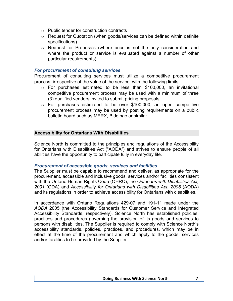- o Public tender for construction contracts
- $\circ$  Request for Quotation (when goods/services can be defined within definite specifications)
- o Request for Proposals (where price is not the only consideration and where the product or service is evaluated against a number of other particular requirements).

## *For procurement of consulting services*

Procurement of consulting services must utilize a competitive procurement process, irrespective of the value of the service, with the following limits:

- $\circ$  For purchases estimated to be less than \$100,000, an invitational competitive procurement process may be used with a minimum of three (3) qualified vendors invited to submit pricing proposals;
- $\circ$  For purchases estimated to be over \$100,000, an open competitive procurement process may be used by posting requirements on a public bulletin board such as MERX, Biddingo or similar.

## **Accessibility for Ontarians With Disabilities**

Science North is committed to the principles and regulations of the Accessibility for Ontarians with Disabilities Act ("AODA") and strives to ensure people of all abilities have the opportunity to participate fully in everyday life.

## *Procurement of accessible goods, services and facilities*

The Supplier must be capable to recommend and deliver, as appropriate for the procurement, accessible and inclusive goods, services and/or facilities consistent with the Ontario Human Rights Code (OHRC), the *Ontarians with Disabilities Act, 2001* (ODA) and *Accessibility for Ontarians with Disabilities Act, 2005* (AODA) and its regulations in order to achieve accessibility for Ontarians with disabilities.

In accordance with Ontario Regulations 429-07 and 191-11 made under the *AODA* 2005 (the Accessibility Standards for Customer Service and Integrated Accessibility Standards, respectively), Science North has established policies, practices and procedures governing the provision of its goods and services to persons with disabilities. The Supplier is required to comply with Science North's accessibility standards, policies, practices, and procedures, which may be in effect at the time of the procurement and which apply to the goods, services and/or facilities to be provided by the Supplier.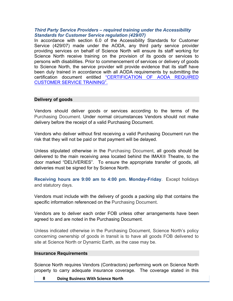## *Third Party Service Providers – required training under the Accessibility Standards for Customer Service regulation (429/07)*

In accordance with section 6.0 of the Accessibility Standards for Customer Service (429/07) made under the AODA, any third party service provider providing services on behalf of Science North will ensure its staff working for Science North receive training on the provision of its goods or services to persons with disabilities. Prior to commencement of services or delivery of goods to Science North, the service provider will provide evidence that its staff have been duly trained in accordance with all AODA requirements by submitting the certification document entitled "CERTIFICATION OF AODA REQUIRED CUSTOMER SERVICE TRAINING".

# **Delivery of goods**

Vendors should deliver goods or services according to the terms of the Purchasing Document. Under normal circumstances Vendors should not make delivery before the receipt of a valid Purchasing Document.

Vendors who deliver without first receiving a valid Purchasing Document run the risk that they will not be paid or that payment will be delayed.

Unless stipulated otherwise in the Purchasing Document, all goods should be delivered to the main receiving area located behind the IMAX® Theatre, to the door marked "DELIVERIES". To ensure the appropriate transfer of goods, all deliveries must be signed for by Science North.

**Receiving hours are 9:00 am to 4:00 pm. Monday-Friday**. Except holidays and statutory days.

Vendors must include with the delivery of goods a packing slip that contains the specific information referenced on the Purchasing Document.

Vendors are to deliver each order FOB unless other arrangements have been agreed to and are noted in the Purchasing Document.

Unless indicated otherwise in the Purchasing Document, Science North's policy concerning ownership of goods in transit is to have all goods FOB delivered to site at Science North or Dynamic Earth, as the case may be.

## **Insurance Requirements**

Science North requires Vendors (Contractors) performing work on Science North property to carry adequate insurance coverage. The coverage stated in this

## **8 Doing Business With Science North**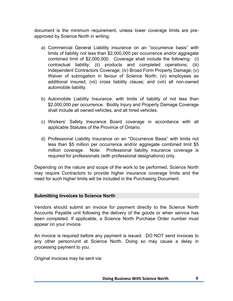document is the minimum requirement, unless lower coverage limits are preapproved by Science North in writing:

- a) Commercial General Liability insurance on an "occurrence basis" with limits of liability not less than \$2,000,000 per occurrence and/or aggregate combined limit of \$2,000,000. Coverage shall include the following: (i) contractual liability; (ii) products and completed operations; (iii) Independent Contractors Coverage; (iv) Broad Form Property Damage; (v) Waiver of subrogation in favour of Science North; (vi) employees as additional insured; (vii) cross liability clause; and (viii) all non-owned automobile liability.
- b) Automobile Liability Insurance, with limits of liability of not less than \$2,000,000 per occurrence. Bodily Injury and Property Damage Coverage shall include all owned vehicles, and all hired vehicles.
- c) Workers' Safety Insurance Board coverage in accordance with all applicable Statutes of the Province of Ontario.
- d) Professional Liability Insurance on an "Occurrence Basis" with limits not less than \$5 million per occurrence and/or aggregate combined limit \$5 million coverage. Note: Professional liability insurance coverage is required for professionals (with professional designations) only.

Depending on the nature and scope of the work to be performed, Science North may require Contractors to provide higher insurance coverage limits and the need for such higher limits will be included in the Purchasing Document.

# **Submitting Invoices to Science North**

Vendors should submit an invoice for payment directly to the Science North Accounts Payable unit following the delivery of the goods or when service has been completed. If applicable, a Science North Purchase Order number must appear on your invoice.

An invoice is required before any payment is issued. DO NOT send invoices to any other person/unit at Science North. Doing so may cause a delay in processing payment to you.

Original invoices may be sent via: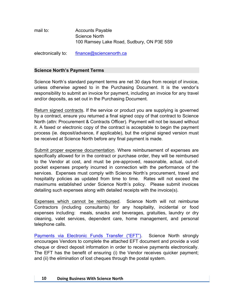mail to: **Accounts Payable** Science North 100 Ramsey Lake Road, Sudbury, ON P3E 5S9

electronically to: finance@sciencenorth.ca

## **Science North's Payment Terms**

Science North's standard payment terms are net 30 days from receipt of invoice, unless otherwise agreed to in the Purchasing Document. It is the vendor's responsibility to submit an invoice for payment, including an invoice for any travel and/or deposits, as set out in the Purchasing Document.

Return signed contracts. If the service or product you are supplying is governed by a contract, ensure you returned a final signed copy of that contract to Science North (attn: Procurement & Contracts Officer). Payment will not be issued without it. A faxed or electronic copy of the contract is acceptable to begin the payment process (ie. deposit/advance, if applicable), but the original signed version must be received at Science North before any final payment is made.

Submit proper expense documentation. Where reimbursement of expenses are specifically allowed for in the contract or purchase order, they will be reimbursed to the Vendor at cost, and must be pre-approved, reasonable, actual, out-ofpocket expenses properly incurred in connection with the performance of the services. Expenses must comply with Science North's procurement, travel and hospitality policies as updated from time to time. Rates will not exceed the maximums established under Science North's policy. Please submit invoices detailing such expenses along with detailed receipts with the invoice(s).

Expenses which cannot be reimbursed. Science North will not reimburse Contractors (including consultants) for any hospitality, incidental or food expenses including: meals, snacks and beverages, gratuities, laundry or dry cleaning, valet services, dependent care, home management, and personal telephone calls.

Payments via Electronic Funds Transfer ("EFT"). Science North strongly encourages Vendors to complete the attached EFT document and provide a void cheque or direct deposit information in order to receive payments electronically. The EFT has the benefit of ensuring (i) the Vendor receives quicker payment; and (ii) the elimination of lost cheques through the postal system.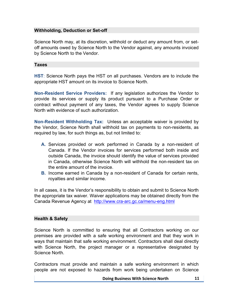# **Withholding, Deduction or Set-off**

Science North may, at its discretion, withhold or deduct any amount from, or setoff amounts owed by Science North to the Vendor against, any amounts invoiced by Science North to the Vendor.

## **Taxes**

**HST**: Science North pays the HST on all purchases. Vendors are to include the appropriate HST amount on its invoice to Science North.

**Non-Resident Service Providers:** If any legislation authorizes the Vendor to provide its services or supply its product pursuant to a Purchase Order or contract without payment of any taxes, the Vendor agrees to supply Science North with evidence of such authorization.

**Non-Resident Withholding Tax:** Unless an acceptable waiver is provided by the Vendor, Science North shall withhold tax on payments to non-residents, as required by law, for such things as, but not limited to:

- **A.** Services provided or work performed in Canada by a non-resident of Canada. If the Vendor invoices for services performed both inside and outside Canada, the invoice should identify the value of services provided in Canada, otherwise Science North will withhold the non-resident tax on the entire amount of the invoice.
- **B.** Income earned in Canada by a non-resident of Canada for certain rents, royalties and similar income.

In all cases, it is the Vendor's responsibility to obtain and submit to Science North the appropriate tax waiver. Waiver applications may be obtained directly from the Canada Revenue Agency at http://www.cra-arc.gc.ca/menu-eng.html

# **Health & Safety**

Science North is committed to ensuring that all Contractors working on our premises are provided with a safe working environment and that they work in ways that maintain that safe working environment. Contractors shall deal directly with Science North, the project manager or a representative designated by Science North.

Contractors must provide and maintain a safe working environment in which people are not exposed to hazards from work being undertaken on Science